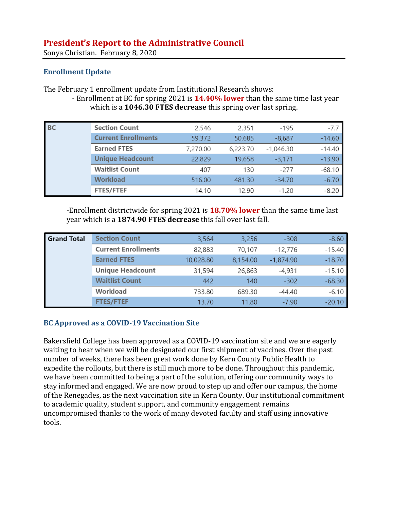Sonya Christian. February 8, 2020

## **Enrollment Update**

The February 1 enrollment update from Institutional Research shows:

- Enrollment at BC for spring 2021 is **14.40% lower** than the same time last year which is a **1046.30 FTES decrease** this spring over last spring.

| <b>BC</b> | <b>Section Count</b>       | 2,546    | 2,351    | $-195$      | $-7.7$   |
|-----------|----------------------------|----------|----------|-------------|----------|
|           | <b>Current Enrollments</b> | 59,372   | 50,685   | $-8,687$    | $-14.60$ |
|           | <b>Earned FTES</b>         | 7,270.00 | 6,223.70 | $-1,046.30$ | $-14.40$ |
|           | <b>Unique Headcount</b>    | 22,829   | 19,658   | $-3.171$    | $-13.90$ |
|           | <b>Waitlist Count</b>      | 407      | 130      | $-277$      | $-68.10$ |
|           | <b>Workload</b>            | 516.00   | 481.30   | $-34.70$    | $-6.70$  |
|           | <b>FTES/FTEF</b>           | 14.10    | 12.90    | $-1.20$     | $-8.20$  |

-Enrollment districtwide for spring 2021 is **18.70% lower** than the same time last year which is a **1874.90 FTES decrease** this fall over last fall.

| <b>Grand Total</b> | <b>Section Count</b>       | 3,564     | 3,256    | $-308$      | $-8.60$  |
|--------------------|----------------------------|-----------|----------|-------------|----------|
|                    | <b>Current Enrollments</b> | 82,883    | 70,107   | -12,776     | $-15.40$ |
|                    | <b>Earned FTES</b>         | 10,028.80 | 8,154.00 | $-1,874.90$ | $-18.70$ |
|                    | <b>Unique Headcount</b>    | 31,594    | 26,863   | -4,931      | $-15.10$ |
|                    | <b>Waitlist Count</b>      | 442       | 140      | $-302$      | $-68.30$ |
|                    | Workload                   | 733.80    | 689.30   | $-44.40$    | $-6.10$  |
|                    | <b>FTES/FTEF</b>           | 13.70     | 11.80    | $-7.90$     | $-20.10$ |

# **BC Approved as a COVID-19 Vaccination Site**

[Bakersfield College has been approved as a COVID-19 vaccination site](https://www.kget.com/health/coronavirus/bakersfield-college-receives-approval-to-be-covid-19-vaccination-site/) and we are eagerly waiting to hear when we will be designated our first shipment of vaccines. Over the past number of weeks, there has been great work done by Kern County Public Health to expedite the rollouts, but there is still much more to be done. Throughout this pandemic, we have been committed to being a part of the solution, offering our community ways to stay informed and engaged. We are now proud to step up and offer our campus, the home of the Renegades, as the next vaccination site in Kern County. Our institutional commitment to academic quality, student support, and community engagement remains uncompromised thanks to the work of many devoted faculty and staff using innovative tools.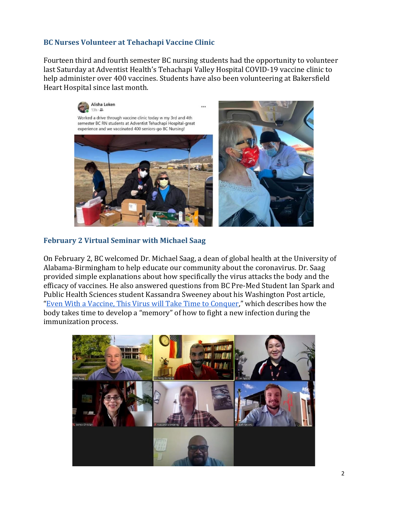### **BC Nurses Volunteer at Tehachapi Vaccine Clinic**

Fourteen third and fourth semester BC nursing students had the opportunity to volunteer last Saturday at Adventist Health's Tehachapi Valley Hospital COVID-19 vaccine clinic to help administer over 400 vaccines. Students have also been volunteering at Bakersfield Heart Hospital since last month.



#### **February 2 Virtual Seminar with Michael Saag**

On February 2, BC welcomed Dr. Michael Saag, a dean of global health at the University of Alabama-Birmingham to help educate our community about the coronavirus. Dr. Saag provided simple explanations about how specifically the virus attacks the body and the efficacy of vaccines. He also answered questions from BC Pre-Med Student Ian Spark and Public Health Sciences student Kassandra Sweeney about his Washington Post article, "[Even With a Vaccine, This Virus will Take Time to Conquer,](https://www.washingtonpost.com/opinions/2020/11/18/even-with-vaccine-this-virus-will-take-time-conquer/)" which describes how the body takes time to develop a "memory" of how to fight a new infection during the immunization process.